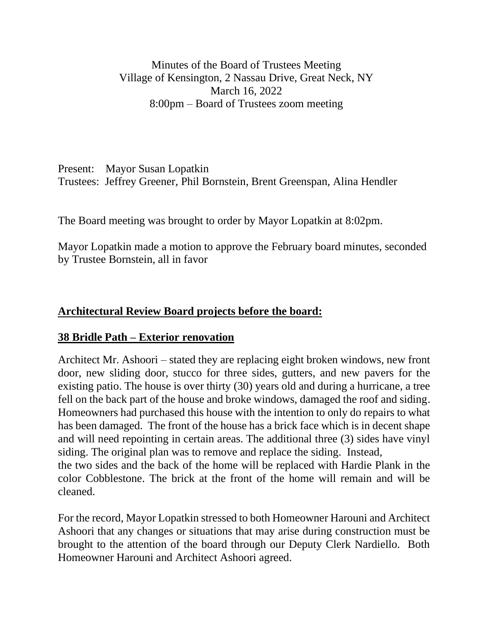Minutes of the Board of Trustees Meeting Village of Kensington, 2 Nassau Drive, Great Neck, NY March 16, 2022 8:00pm – Board of Trustees zoom meeting

Present: Mayor Susan Lopatkin Trustees: Jeffrey Greener, Phil Bornstein, Brent Greenspan, Alina Hendler

The Board meeting was brought to order by Mayor Lopatkin at 8:02pm.

Mayor Lopatkin made a motion to approve the February board minutes, seconded by Trustee Bornstein, all in favor

## **Architectural Review Board projects before the board:**

## **38 Bridle Path – Exterior renovation**

Architect Mr. Ashoori – stated they are replacing eight broken windows, new front door, new sliding door, stucco for three sides, gutters, and new pavers for the existing patio. The house is over thirty (30) years old and during a hurricane, a tree fell on the back part of the house and broke windows, damaged the roof and siding. Homeowners had purchased this house with the intention to only do repairs to what has been damaged. The front of the house has a brick face which is in decent shape and will need repointing in certain areas. The additional three (3) sides have vinyl siding. The original plan was to remove and replace the siding. Instead, the two sides and the back of the home will be replaced with Hardie Plank in the

color Cobblestone. The brick at the front of the home will remain and will be cleaned.

For the record, Mayor Lopatkin stressed to both Homeowner Harouni and Architect Ashoori that any changes or situations that may arise during construction must be brought to the attention of the board through our Deputy Clerk Nardiello. Both Homeowner Harouni and Architect Ashoori agreed.